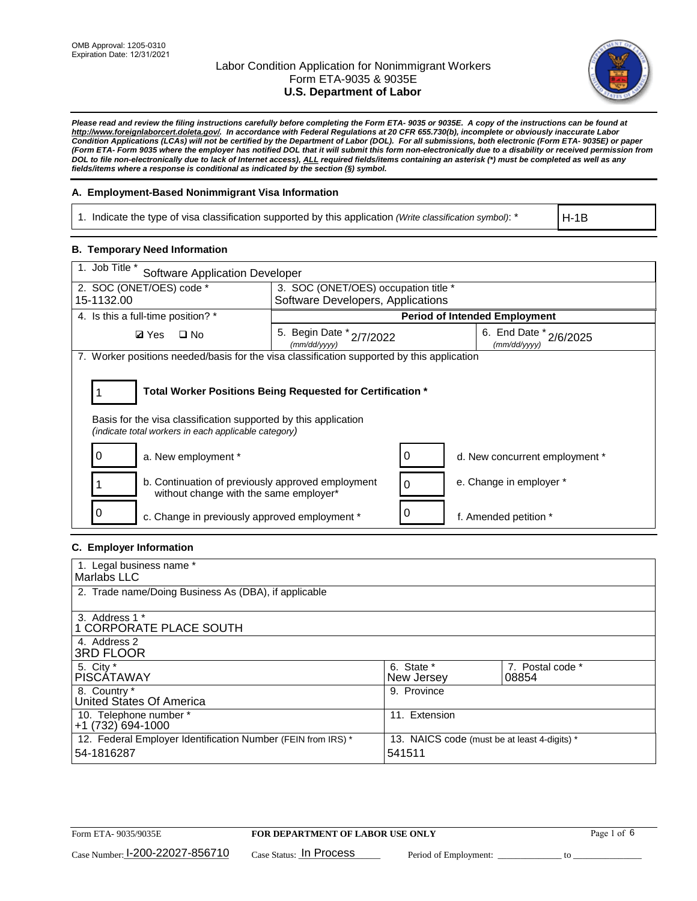

*Please read and review the filing instructions carefully before completing the Form ETA- 9035 or 9035E. A copy of the instructions can be found at http://www.foreignlaborcert.doleta.gov/. In accordance with Federal Regulations at 20 CFR 655.730(b), incomplete or obviously inaccurate Labor Condition Applications (LCAs) will not be certified by the Department of Labor (DOL). For all submissions, both electronic (Form ETA- 9035E) or paper (Form ETA- Form 9035 where the employer has notified DOL that it will submit this form non-electronically due to a disability or received permission from DOL to file non-electronically due to lack of Internet access), ALL required fields/items containing an asterisk (\*) must be completed as well as any fields/items where a response is conditional as indicated by the section (§) symbol.* 

### **A. Employment-Based Nonimmigrant Visa Information**

1. Indicate the type of visa classification supported by this application *(Write classification symbol)*: \*

H-1B

### **B. Temporary Need Information**

| 1. Job Title *<br><b>Software Application Developer</b>                                                                                                                               |                                          |   |                                        |  |  |  |
|---------------------------------------------------------------------------------------------------------------------------------------------------------------------------------------|------------------------------------------|---|----------------------------------------|--|--|--|
| 2. SOC (ONET/OES) code *                                                                                                                                                              | 3. SOC (ONET/OES) occupation title *     |   |                                        |  |  |  |
| 15-1132.00                                                                                                                                                                            | Software Developers, Applications        |   |                                        |  |  |  |
| 4. Is this a full-time position? *                                                                                                                                                    |                                          |   | <b>Period of Intended Employment</b>   |  |  |  |
| $\Box$ No<br><b>Ø</b> Yes                                                                                                                                                             | 5. Begin Date * 2/7/2022<br>(mm/dd/yyyy) |   | 6. End Date * 2/6/2025<br>(mm/dd/yyyy) |  |  |  |
| 7. Worker positions needed/basis for the visa classification supported by this application                                                                                            |                                          |   |                                        |  |  |  |
| Total Worker Positions Being Requested for Certification *<br>Basis for the visa classification supported by this application<br>(indicate total workers in each applicable category) |                                          |   |                                        |  |  |  |
| a. New employment *                                                                                                                                                                   |                                          | 0 | d. New concurrent employment *         |  |  |  |
| b. Continuation of previously approved employment<br>without change with the same employer*                                                                                           |                                          | 0 | e. Change in employer *                |  |  |  |
| c. Change in previously approved employment *                                                                                                                                         |                                          |   | f. Amended petition *                  |  |  |  |

### **C. Employer Information**

| 1. Legal business name *                                                   |                                                        |                           |
|----------------------------------------------------------------------------|--------------------------------------------------------|---------------------------|
| Marlabs LLC                                                                |                                                        |                           |
| 2. Trade name/Doing Business As (DBA), if applicable                       |                                                        |                           |
| 3. Address 1 *<br>1 CORPORATE PLACE SOUTH<br>4. Address 2                  |                                                        |                           |
| <b>3RD FLOOR</b>                                                           |                                                        |                           |
| 5. City *<br><b>PISCÁTAWAY</b>                                             | 6. State *<br>New Jersey                               | 7. Postal code *<br>08854 |
| 8. Country *<br>United States Of America                                   | 9. Province                                            |                           |
| 10. Telephone number *<br>$+1(732)694-1000$                                | 11. Extension                                          |                           |
| 12. Federal Employer Identification Number (FEIN from IRS) *<br>54-1816287 | 13. NAICS code (must be at least 4-digits) *<br>541511 |                           |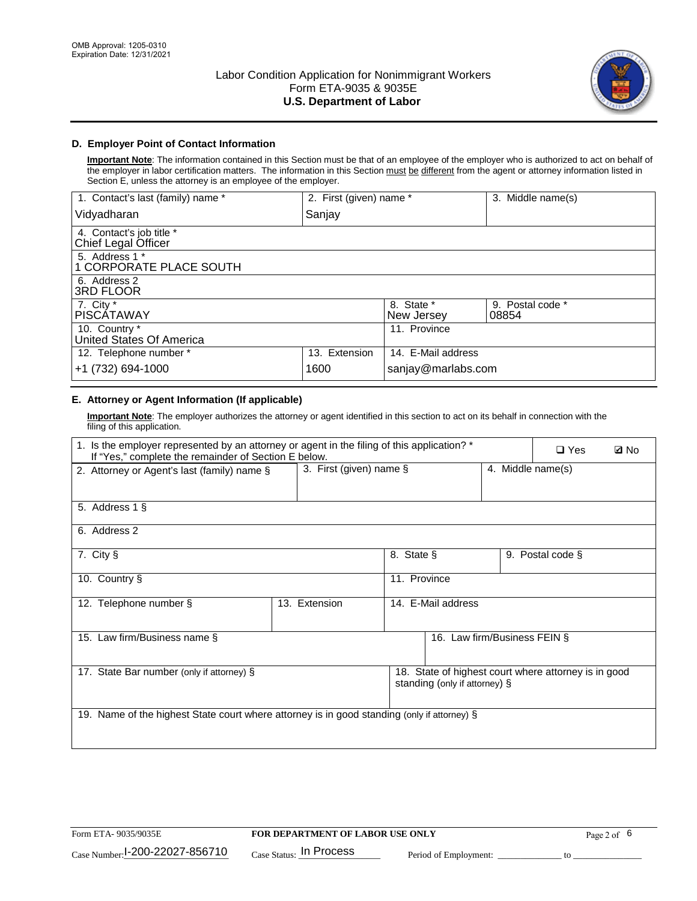

# **D. Employer Point of Contact Information**

**Important Note**: The information contained in this Section must be that of an employee of the employer who is authorized to act on behalf of the employer in labor certification matters. The information in this Section must be different from the agent or attorney information listed in Section E, unless the attorney is an employee of the employer.

| 1. Contact's last (family) name *               | 2. First (given) name * |                          | 3. Middle name(s)         |
|-------------------------------------------------|-------------------------|--------------------------|---------------------------|
| Vidyadharan                                     | Sanjay                  |                          |                           |
| 4. Contact's job title *<br>Chief Legal Officer |                         |                          |                           |
| 5. Address 1 *<br>1 CORPORATE PLACE SOUTH       |                         |                          |                           |
| 6. Address 2<br><b>3RD FLOOR</b>                |                         |                          |                           |
| 7. City *<br><b>PISCÁTAWAY</b>                  |                         | 8. State *<br>New Jersey | 9. Postal code *<br>08854 |
| 10. Country *<br>United States Of America       |                         | 11. Province             |                           |
| 12. Telephone number *                          | 13. Extension           | 14. E-Mail address       |                           |
| +1 (732) 694-1000                               | 1600                    | sanjay@marlabs.com       |                           |

# **E. Attorney or Agent Information (If applicable)**

**Important Note**: The employer authorizes the attorney or agent identified in this section to act on its behalf in connection with the filing of this application.

| 1. Is the employer represented by an attorney or agent in the filing of this application? *<br>If "Yes," complete the remainder of Section E below. |                         | $\square$ Yes | <b>ØNo</b>                    |                   |                                                      |  |
|-----------------------------------------------------------------------------------------------------------------------------------------------------|-------------------------|---------------|-------------------------------|-------------------|------------------------------------------------------|--|
| 2. Attorney or Agent's last (family) name §                                                                                                         | 3. First (given) name § |               |                               | 4. Middle name(s) |                                                      |  |
| 5. Address 1 §                                                                                                                                      |                         |               |                               |                   |                                                      |  |
| 6. Address 2                                                                                                                                        |                         |               |                               |                   |                                                      |  |
| 7. City §                                                                                                                                           |                         | 8. State §    |                               |                   | 9. Postal code §                                     |  |
| 10. Country §                                                                                                                                       |                         | 11. Province  |                               |                   |                                                      |  |
| 12. Telephone number §                                                                                                                              | 13. Extension           |               | 14. E-Mail address            |                   |                                                      |  |
| 15. Law firm/Business name §                                                                                                                        |                         |               | 16. Law firm/Business FEIN §  |                   |                                                      |  |
| 17. State Bar number (only if attorney) §                                                                                                           |                         |               | standing (only if attorney) § |                   | 18. State of highest court where attorney is in good |  |
| 19. Name of the highest State court where attorney is in good standing (only if attorney) §                                                         |                         |               |                               |                   |                                                      |  |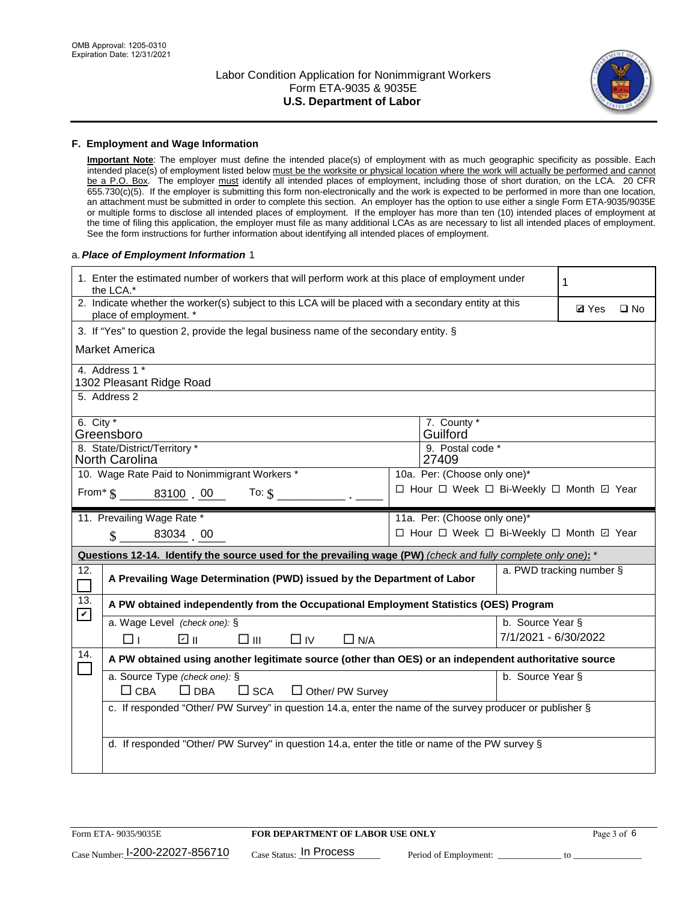

#### **F. Employment and Wage Information**

**Important Note**: The employer must define the intended place(s) of employment with as much geographic specificity as possible. Each intended place(s) of employment listed below must be the worksite or physical location where the work will actually be performed and cannot be a P.O. Box. The employer must identify all intended places of employment, including those of short duration, on the LCA. 20 CFR 655.730(c)(5). If the employer is submitting this form non-electronically and the work is expected to be performed in more than one location, an attachment must be submitted in order to complete this section. An employer has the option to use either a single Form ETA-9035/9035E or multiple forms to disclose all intended places of employment. If the employer has more than ten (10) intended places of employment at the time of filing this application, the employer must file as many additional LCAs as are necessary to list all intended places of employment. See the form instructions for further information about identifying all intended places of employment.

#### a.*Place of Employment Information* 1

|                                                                              | 1. Enter the estimated number of workers that will perform work at this place of employment under<br>the LCA.*                 |  |                                          |                          |              |              |  |
|------------------------------------------------------------------------------|--------------------------------------------------------------------------------------------------------------------------------|--|------------------------------------------|--------------------------|--------------|--------------|--|
|                                                                              | 2. Indicate whether the worker(s) subject to this LCA will be placed with a secondary entity at this<br>place of employment. * |  |                                          |                          | <b>Ø</b> Yes | $\square$ No |  |
|                                                                              | 3. If "Yes" to question 2, provide the legal business name of the secondary entity. §                                          |  |                                          |                          |              |              |  |
|                                                                              | Market America                                                                                                                 |  |                                          |                          |              |              |  |
|                                                                              | 4. Address 1 *<br>1302 Pleasant Ridge Road                                                                                     |  |                                          |                          |              |              |  |
|                                                                              | 5. Address 2                                                                                                                   |  |                                          |                          |              |              |  |
|                                                                              | 6. City $*$<br>7. County *<br>Guilford<br>Greensboro<br>8. State/District/Territory *<br>9. Postal code *                      |  |                                          |                          |              |              |  |
| <b>North Carolina</b><br>27409                                               |                                                                                                                                |  |                                          |                          |              |              |  |
| 10. Wage Rate Paid to Nonimmigrant Workers *<br>10a. Per: (Choose only one)* |                                                                                                                                |  |                                          |                          |              |              |  |
|                                                                              | □ Hour □ Week □ Bi-Weekly □ Month 回 Year<br>From * \$ 83100 00<br>To: $$$                                                      |  |                                          |                          |              |              |  |
|                                                                              | 11. Prevailing Wage Rate *                                                                                                     |  | 11a. Per: (Choose only one)*             |                          |              |              |  |
|                                                                              | 83034 00<br>$\mathbf{\hat{S}}$                                                                                                 |  | □ Hour □ Week □ Bi-Weekly □ Month ☑ Year |                          |              |              |  |
|                                                                              | Questions 12-14. Identify the source used for the prevailing wage (PW) (check and fully complete only one): *                  |  |                                          |                          |              |              |  |
| 12.<br>$\overline{\phantom{a}}$                                              | A Prevailing Wage Determination (PWD) issued by the Department of Labor                                                        |  |                                          | a. PWD tracking number § |              |              |  |
| 13.<br>$\mathbf v$                                                           | A PW obtained independently from the Occupational Employment Statistics (OES) Program                                          |  |                                          |                          |              |              |  |
|                                                                              | a. Wage Level (check one): §                                                                                                   |  |                                          | b. Source Year §         |              |              |  |
|                                                                              | लि ॥<br>□⊪<br>$\Box$ IV<br>$\Box$ N/A<br>$\Box$ l                                                                              |  |                                          | 7/1/2021 - 6/30/2022     |              |              |  |
| 14.                                                                          | A PW obtained using another legitimate source (other than OES) or an independent authoritative source                          |  |                                          |                          |              |              |  |
|                                                                              | a. Source Type (check one): §<br>$\Box$ CBA<br>$\Box$ DBA<br>$\square$ SCA<br>$\Box$ Other/ PW Survey                          |  |                                          | b. Source Year §         |              |              |  |
|                                                                              | c. If responded "Other/ PW Survey" in question 14.a, enter the name of the survey producer or publisher §                      |  |                                          |                          |              |              |  |
|                                                                              | d. If responded "Other/ PW Survey" in question 14.a, enter the title or name of the PW survey §                                |  |                                          |                          |              |              |  |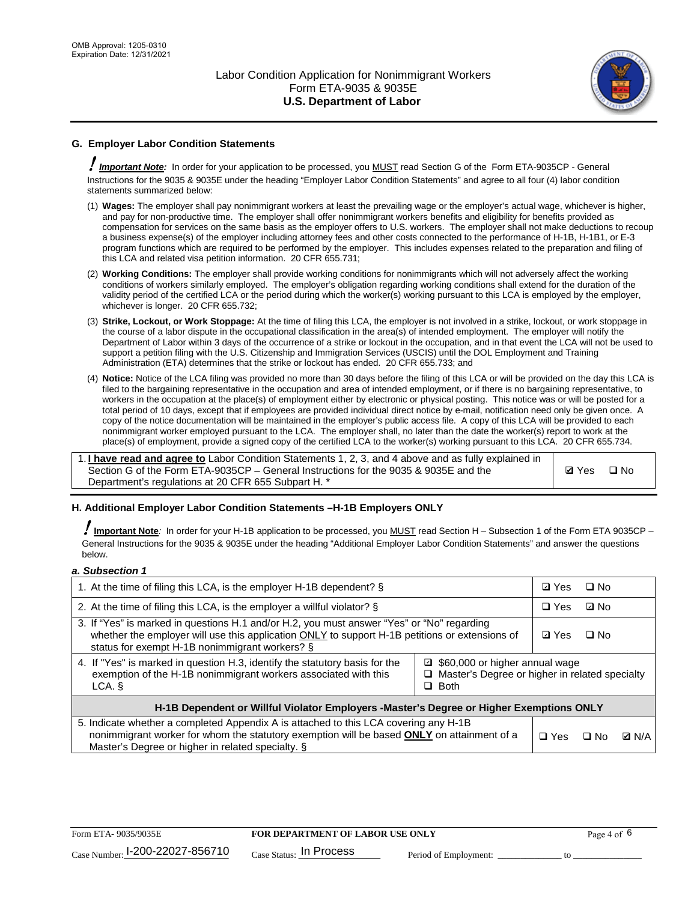

# **G. Employer Labor Condition Statements**

! *Important Note:* In order for your application to be processed, you MUST read Section G of the Form ETA-9035CP - General Instructions for the 9035 & 9035E under the heading "Employer Labor Condition Statements" and agree to all four (4) labor condition statements summarized below:

- (1) **Wages:** The employer shall pay nonimmigrant workers at least the prevailing wage or the employer's actual wage, whichever is higher, and pay for non-productive time. The employer shall offer nonimmigrant workers benefits and eligibility for benefits provided as compensation for services on the same basis as the employer offers to U.S. workers. The employer shall not make deductions to recoup a business expense(s) of the employer including attorney fees and other costs connected to the performance of H-1B, H-1B1, or E-3 program functions which are required to be performed by the employer. This includes expenses related to the preparation and filing of this LCA and related visa petition information. 20 CFR 655.731;
- (2) **Working Conditions:** The employer shall provide working conditions for nonimmigrants which will not adversely affect the working conditions of workers similarly employed. The employer's obligation regarding working conditions shall extend for the duration of the validity period of the certified LCA or the period during which the worker(s) working pursuant to this LCA is employed by the employer, whichever is longer. 20 CFR 655.732;
- (3) **Strike, Lockout, or Work Stoppage:** At the time of filing this LCA, the employer is not involved in a strike, lockout, or work stoppage in the course of a labor dispute in the occupational classification in the area(s) of intended employment. The employer will notify the Department of Labor within 3 days of the occurrence of a strike or lockout in the occupation, and in that event the LCA will not be used to support a petition filing with the U.S. Citizenship and Immigration Services (USCIS) until the DOL Employment and Training Administration (ETA) determines that the strike or lockout has ended. 20 CFR 655.733; and
- (4) **Notice:** Notice of the LCA filing was provided no more than 30 days before the filing of this LCA or will be provided on the day this LCA is filed to the bargaining representative in the occupation and area of intended employment, or if there is no bargaining representative, to workers in the occupation at the place(s) of employment either by electronic or physical posting. This notice was or will be posted for a total period of 10 days, except that if employees are provided individual direct notice by e-mail, notification need only be given once. A copy of the notice documentation will be maintained in the employer's public access file. A copy of this LCA will be provided to each nonimmigrant worker employed pursuant to the LCA. The employer shall, no later than the date the worker(s) report to work at the place(s) of employment, provide a signed copy of the certified LCA to the worker(s) working pursuant to this LCA. 20 CFR 655.734.

1. **I have read and agree to** Labor Condition Statements 1, 2, 3, and 4 above and as fully explained in Section G of the Form ETA-9035CP – General Instructions for the 9035 & 9035E and the Department's regulations at 20 CFR 655 Subpart H. \*

**Ø**Yes ロNo

### **H. Additional Employer Labor Condition Statements –H-1B Employers ONLY**

!**Important Note***:* In order for your H-1B application to be processed, you MUST read Section H – Subsection 1 of the Form ETA 9035CP – General Instructions for the 9035 & 9035E under the heading "Additional Employer Labor Condition Statements" and answer the questions below.

#### *a. Subsection 1*

| 1. At the time of filing this LCA, is the employer H-1B dependent? §                                                                                                                                                                           | ⊡ Yes                                                                                               | □ No       |              |  |
|------------------------------------------------------------------------------------------------------------------------------------------------------------------------------------------------------------------------------------------------|-----------------------------------------------------------------------------------------------------|------------|--------------|--|
| 2. At the time of filing this LCA, is the employer a willful violator? $\S$                                                                                                                                                                    |                                                                                                     | $\Box$ Yes | ⊡ No         |  |
| 3. If "Yes" is marked in questions H.1 and/or H.2, you must answer "Yes" or "No" regarding<br>whether the employer will use this application ONLY to support H-1B petitions or extensions of<br>status for exempt H-1B nonimmigrant workers? § |                                                                                                     |            | $\Box$ No    |  |
| 4. If "Yes" is marked in question H.3, identify the statutory basis for the<br>exemption of the H-1B nonimmigrant workers associated with this<br>LCA. §                                                                                       | ■ \$60,000 or higher annual wage<br>□ Master's Degree or higher in related specialty<br>$\Box$ Both |            |              |  |
| H-1B Dependent or Willful Violator Employers -Master's Degree or Higher Exemptions ONLY                                                                                                                                                        |                                                                                                     |            |              |  |
| 5. Indicate whether a completed Appendix A is attached to this LCA covering any H-1B<br>nonimmigrant worker for whom the statutory exemption will be based <b>ONLY</b> on attainment of a<br>Master's Degree or higher in related specialty. § | $\Box$ Yes                                                                                          | ⊡ No       | <b>D</b> N/A |  |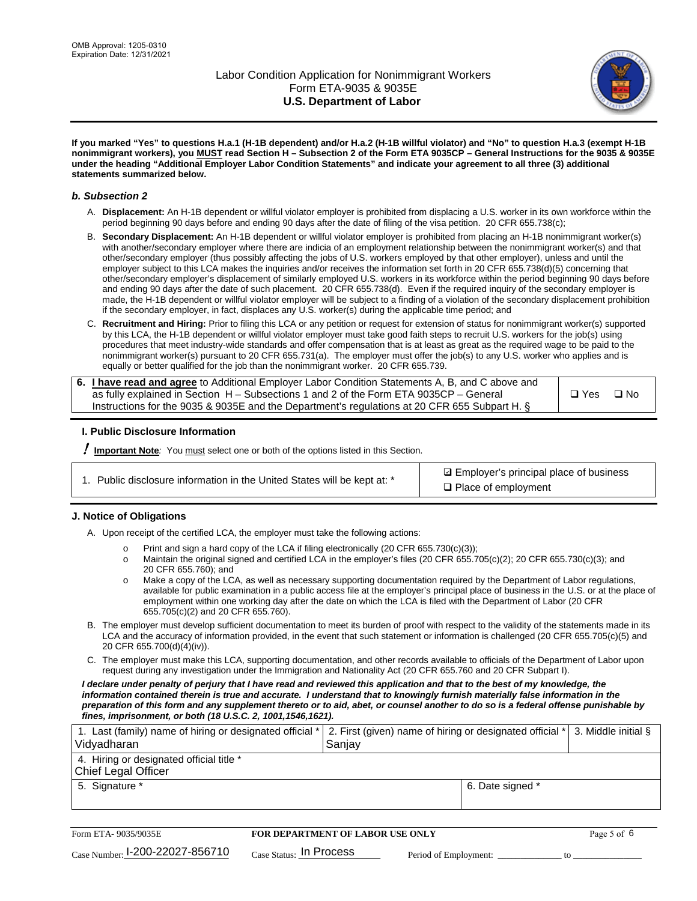

**If you marked "Yes" to questions H.a.1 (H-1B dependent) and/or H.a.2 (H-1B willful violator) and "No" to question H.a.3 (exempt H-1B nonimmigrant workers), you MUST read Section H – Subsection 2 of the Form ETA 9035CP – General Instructions for the 9035 & 9035E under the heading "Additional Employer Labor Condition Statements" and indicate your agreement to all three (3) additional statements summarized below.**

#### *b. Subsection 2*

- A. **Displacement:** An H-1B dependent or willful violator employer is prohibited from displacing a U.S. worker in its own workforce within the period beginning 90 days before and ending 90 days after the date of filing of the visa petition. 20 CFR 655.738(c);
- B. **Secondary Displacement:** An H-1B dependent or willful violator employer is prohibited from placing an H-1B nonimmigrant worker(s) with another/secondary employer where there are indicia of an employment relationship between the nonimmigrant worker(s) and that other/secondary employer (thus possibly affecting the jobs of U.S. workers employed by that other employer), unless and until the employer subject to this LCA makes the inquiries and/or receives the information set forth in 20 CFR 655.738(d)(5) concerning that other/secondary employer's displacement of similarly employed U.S. workers in its workforce within the period beginning 90 days before and ending 90 days after the date of such placement. 20 CFR 655.738(d). Even if the required inquiry of the secondary employer is made, the H-1B dependent or willful violator employer will be subject to a finding of a violation of the secondary displacement prohibition if the secondary employer, in fact, displaces any U.S. worker(s) during the applicable time period; and
- C. **Recruitment and Hiring:** Prior to filing this LCA or any petition or request for extension of status for nonimmigrant worker(s) supported by this LCA, the H-1B dependent or willful violator employer must take good faith steps to recruit U.S. workers for the job(s) using procedures that meet industry-wide standards and offer compensation that is at least as great as the required wage to be paid to the nonimmigrant worker(s) pursuant to 20 CFR 655.731(a). The employer must offer the job(s) to any U.S. worker who applies and is equally or better qualified for the job than the nonimmigrant worker. 20 CFR 655.739.

| 6. I have read and agree to Additional Employer Labor Condition Statements A, B, and C above and |       |           |
|--------------------------------------------------------------------------------------------------|-------|-----------|
| as fully explained in Section H – Subsections 1 and 2 of the Form ETA 9035CP – General           | □ Yes | $\Box$ No |
| Instructions for the 9035 & 9035E and the Department's regulations at 20 CFR 655 Subpart H. §    |       |           |

### **I. Public Disclosure Information**

! **Important Note***:* You must select one or both of the options listed in this Section.

|  | 1. Public disclosure information in the United States will be kept at: * |  |  |  |
|--|--------------------------------------------------------------------------|--|--|--|
|  |                                                                          |  |  |  |

**sqrt** Employer's principal place of business □ Place of employment

### **J. Notice of Obligations**

A. Upon receipt of the certified LCA, the employer must take the following actions:

- o Print and sign a hard copy of the LCA if filing electronically (20 CFR 655.730(c)(3));<br>
Maintain the original signed and certified LCA in the employer's files (20 CFR 655.7
- Maintain the original signed and certified LCA in the employer's files (20 CFR 655.705(c)(2); 20 CFR 655.730(c)(3); and 20 CFR 655.760); and
- o Make a copy of the LCA, as well as necessary supporting documentation required by the Department of Labor regulations, available for public examination in a public access file at the employer's principal place of business in the U.S. or at the place of employment within one working day after the date on which the LCA is filed with the Department of Labor (20 CFR 655.705(c)(2) and 20 CFR 655.760).
- B. The employer must develop sufficient documentation to meet its burden of proof with respect to the validity of the statements made in its LCA and the accuracy of information provided, in the event that such statement or information is challenged (20 CFR 655.705(c)(5) and 20 CFR 655.700(d)(4)(iv)).
- C. The employer must make this LCA, supporting documentation, and other records available to officials of the Department of Labor upon request during any investigation under the Immigration and Nationality Act (20 CFR 655.760 and 20 CFR Subpart I).

*I declare under penalty of perjury that I have read and reviewed this application and that to the best of my knowledge, the*  information contained therein is true and accurate. I understand that to knowingly furnish materially false information in the *preparation of this form and any supplement thereto or to aid, abet, or counsel another to do so is a federal offense punishable by fines, imprisonment, or both (18 U.S.C. 2, 1001,1546,1621).*

| 1. Last (family) name of hiring or designated official *   2. First (given) name of hiring or designated official *   3. Middle initial §<br>Vidyadharan | Saniav           |  |
|----------------------------------------------------------------------------------------------------------------------------------------------------------|------------------|--|
| 4. Hiring or designated official title *<br>Chief Legal Officer                                                                                          |                  |  |
| 5. Signature *                                                                                                                                           | 6. Date signed * |  |

| Form ETA-9035/9035E                         | <b>FOR DEPARTMENT OF LABOR USE ONLY</b> |                       |  |
|---------------------------------------------|-----------------------------------------|-----------------------|--|
| $_{\text{Case Number:}}$ I-200-22027-856710 | $_{\rm Case~S status:}$ In Process      | Period of Employment: |  |